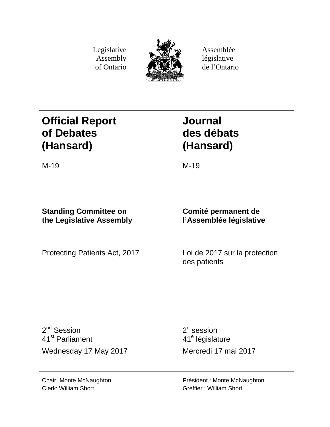Legislative Assembly of Ontario



Assemblée législative de l'Ontario

# **Official Report of Debates (Hansard)**

**Journal des débats (Hansard)**

## M-19 M-19

## **Standing Committee on the Legislative Assembly**

Protecting Patients Act, 2017 Loi de 2017 sur la protection

## **Comité permanent de l'Assemblée législative**

des patients

2<sup>nd</sup> Session 41st Parliament Wednesday 17 May 2017 Mercredi 17 mai 2017

 $2<sup>e</sup>$  session 41<sup>e</sup> législature

Président : Monte McNaughton Greffier : William Short

Chair: Monte McNaughton Clerk: William Short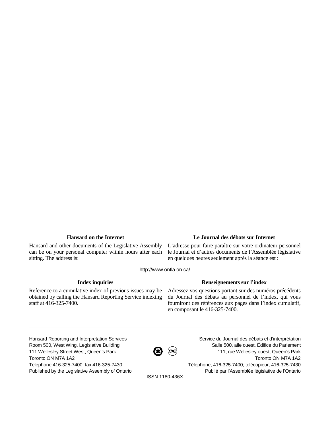Hansard and other documents of the Legislative Assembly can be on your personal computer within hours after each sitting. The address is:

### **Hansard on the Internet Le Journal des débats sur Internet**

L'adresse pour faire paraître sur votre ordinateur personnel le Journal et d'autres documents de l'Assemblée législative en quelques heures seulement après la séance est :

http://www.ontla.on.ca/

Reference to a cumulative index of previous issues may be obtained by calling the Hansard Reporting Service indexing staff at 416-325-7400.

#### **Index inquiries Renseignements sur l'index**

Adressez vos questions portant sur des numéros précédents du Journal des débats au personnel de l'index, qui vous fourniront des références aux pages dans l'index cumulatif, en composant le 416-325-7400.

Hansard Reporting and Interpretation Services Room 500, West Wing, Legislative Building 111 Wellesley Street West, Queen's Park Toronto ON M7A 1A2 Telephone 416-325-7400; fax 416-325-7430 Published by the Legislative Assembly of Ontario



Service du Journal des débats et d'interprétation Salle 500, aile ouest, Édifice du Parlement 111, rue Wellesley ouest, Queen's Park Toronto ON M7A 1A2 Téléphone, 416-325-7400; télécopieur, 416-325-7430 Publié par l'Assemblée législative de l'Ontario

ISSN 1180-436X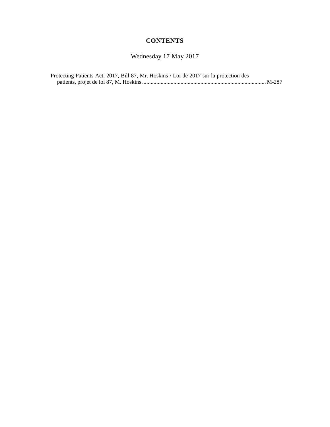## **CONTENTS**

Wednesday 17 May 2017

| Protecting Patients Act, 2017, Bill 87, Mr. Hoskins / Loi de 2017 sur la protection des |  |
|-----------------------------------------------------------------------------------------|--|
|                                                                                         |  |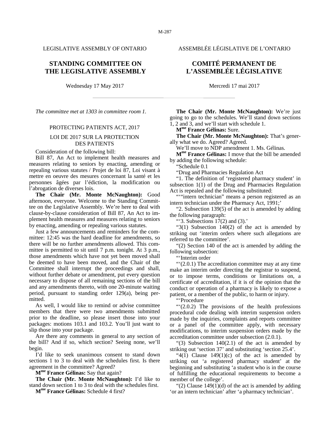LEGISLATIVE ASSEMBLY OF ONTARIO ASSEMBLÉE LÉGISLATIVE DE L'ONTARIO

### **STANDING COMMITTEE ON THE LEGISLATIVE ASSEMBLY**

Wednesday 17 May 2017 Mercredi 17 mai 2017

*The committee met at 1303 in committee room 1.*

#### PROTECTING PATIENTS ACT, 2017

#### LOI DE 2017 SUR LA PROTECTION DES PATIENTS

Consideration of the following bill:

Bill 87, An Act to implement health measures and measures relating to seniors by enacting, amending or repealing various statutes / Projet de loi 87, Loi visant à mettre en oeuvre des mesures concernant la santé et les personnes âgées par l'édiction, la modification ou l'abrogation de diverses lois.

**The Chair (Mr. Monte McNaughton):** Good afternoon, everyone. Welcome to the Standing Committee on the Legislative Assembly. We're here to deal with clause-by-clause consideration of Bill 87, An Act to implement health measures and measures relating to seniors by enacting, amending or repealing various statutes.

Just a few announcements and reminders for the committee: 12:45 was the hard deadline for amendments, so there will be no further amendments allowed. This committee is permitted to sit until 7 p.m. tonight. At 3 p.m., those amendments which have not yet been moved shall be deemed to have been moved, and the Chair of the Committee shall interrupt the proceedings and shall, without further debate or amendment, put every question necessary to dispose of all remaining sections of the bill and any amendments thereto, with one 20-minute waiting period, pursuant to standing order 129(a), being permitted.

As well, I would like to remind or advise committee members that there were two amendments submitted prior to the deadline, so please insert those into your packages: motions 103.1 and 103.2. You'll just want to slip those into your package.

Are there any comments in general to any section of the bill? And if so, which section? Seeing none, we'll begin.

I'd like to seek unanimous consent to stand down sections 1 to 3 to deal with the schedules first. Is there agreement in the committee? Agreed?

**Mme France Gélinas:** Say that again?

**The Chair (Mr. Monte McNaughton):** I'd like to stand down section 1 to 3 to deal with the schedules first.

**Mme France Gélinas:** Schedule 4 first?

## **COMITÉ PERMANENT DE L'ASSEMBLÉE LÉGISLATIVE**

**The Chair (Mr. Monte McNaughton):** We're just going to go to the schedules. We'll stand down sections 1, 2 and 3, and we'll start with schedule 1.

**Mme France Gélinas:** Sure.

**The Chair (Mr. Monte McNaughton):** That's generally what we do. Agreed? Agreed.

We'll move to NDP amendment 1. Ms. Gélinas.

**Mme France Gélinas:** I move that the bill be amended by adding the following schedule:

"Schedule 0.1

"Drug and Pharmacies Regulation Act

"1. The definition of 'registered pharmacy student' in subsection 1(1) of the Drug and Pharmacies Regulation Act is repealed and the following substituted:

""intern technician" means a person registered as an intern technician under the Pharmacy Act, 1991;'

"2. Subsection 139(5) of the act is amended by adding the following paragraph:

"'3. Subsections  $17(2)$  and  $(3)$ ."

"3(1) Subsection 140(2) of the act is amended by striking out 'interim orders where such allegations are referred to the committee'.

"(2) Section 140 of the act is amended by adding the following subsection:

"'Interim order

"'(2.0.1) The accreditation committee may at any time make an interim order directing the registrar to suspend, or to impose terms, conditions or limitations on, a certificate of accreditation, if it is of the opinion that the conduct or operation of a pharmacy is likely to expose a patient, or a member of the public, to harm or injury.

"'Procedure

"'(2.0.2) The provisions of the health professions procedural code dealing with interim suspension orders made by the inquiries, complaints and reports committee or a panel of the committee apply, with necessary modifications, to interim suspension orders made by the accreditation committee under subsection (2.0.1).

"(3) Subsection  $140(2.1)$  of the act is amended by striking out 'section 37' and substituting 'section 25.4'.

" $4(1)$  Clause 149 $(1)(c)$  of the act is amended by striking out 'a registered pharmacy student' at the beginning and substituting 'a student who is in the course of fulfilling the educational requirements to become a member of the college'.

" $(2)$  Clause 149 $(1)(d)$  of the act is amended by adding 'or an intern technician' after 'a pharmacy technician'.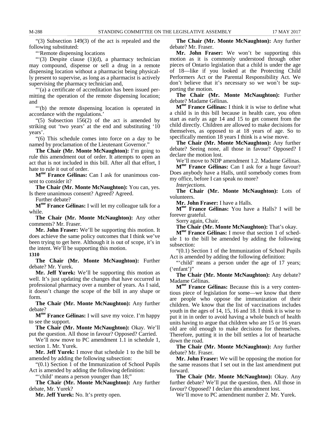M-288 STANDING COMMITTEE ON THE LEGISLATIVE ASSEMBLY 17 MAY 2017

"(3) Subsection 149(3) of the act is repealed and the following substituted:

"'Remote dispensing locations

"'(3) Despite clause (1)(d), a pharmacy technician may compound, dispense or sell a drug in a remote dispensing location without a pharmacist being physically present to supervise, as long as a pharmacist is actively supervising the pharmacy technician and,

"'(a) a certificate of accreditation has been issued permitting the operation of the remote dispensing location; and

"'(b) the remote dispensing location is operated in accordance with the regulations.'

"(5) Subsection 156(2) of the act is amended by striking out 'two years' at the end and substituting '10 years'.

"(6) This schedule comes into force on a day to be named by proclamation of the Lieutenant Governor."

**The Chair (Mr. Monte McNaughton):** I'm going to rule this amendment out of order. It attempts to open an act that is not included in this bill. After all that effort, I hate to rule it out of order.

**Mme France Gélinas:** Can I ask for unanimous consent to consider it?

**The Chair (Mr. Monte McNaughton):** You can, yes. Is there unanimous consent? Agreed? Agreed.

Further debate?

**Mme France Gélinas:** I will let my colleague talk for a while.

**The Chair (Mr. Monte McNaughton):** Any other comments? Mr. Fraser.

**Mr. John Fraser:** We'll be supporting this motion. It does achieve the same policy outcomes that I think we've been trying to get here. Although it is out of scope, it's in the intent. We'll be supporting this motion.

**1310**

**The Chair (Mr. Monte McNaughton):** Further debate? Mr. Yurek.

**Mr. Jeff Yurek:** We'll be supporting this motion as well. It's just updating the changes that have occurred in professional pharmacy over a number of years. As I said, it doesn't change the scope of the bill in any shape or form.

**The Chair (Mr. Monte McNaughton):** Any further debate?

**Mme France Gélinas:** I will save my voice. I'm happy to see the support.

**The Chair (Mr. Monte McNaughton):** Okay. We'll put the question. All those in favour? Opposed? Carried.

We'll now move to PC amendment 1.1 in schedule 1, section 1. Mr. Yurek.

**Mr. Jeff Yurek:** I move that schedule 1 to the bill be amended by adding the following subsection:

"(0.1) Section 1 of the Immunization of School Pupils Act is amended by adding the following definition:

"'child' means a person younger than 18;"

**The Chair (Mr. Monte McNaughton):** Any further debate, Mr. Yurek?

**Mr. Jeff Yurek:** No. It's pretty open.

**The Chair (Mr. Monte McNaughton):** Any further debate? Mr. Fraser.

**Mr. John Fraser:** We won't be supporting this motion as it is commonly understood through other pieces of Ontario legislation that a child is under the age of 18—like if you looked at the Protecting Child Performers Act or the Parental Responsibility Act. We don't believe that it's necessary so we won't be supporting the motion.

**The Chair (Mr. Monte McNaughton):** Further debate? Madame Gélinas.

**Mme France Gélinas:** I think it is wise to define what a child is in this bill because in health care, you often start as early as age 14 and 15 to get consent from the child directly. Children are allowed to make decisions for themselves, as opposed to at 18 years of age. So to specifically mention 18 years I think is a wise move.

**The Chair (Mr. Monte McNaughton):** Any further debate? Seeing none, all those in favour? Opposed? I declare the motion lost.

We'll move to NDP amendment 1.2. Madame Gélinas.

**Mme France Gélinas:** Can I ask for a huge favour? Does anybody have a Halls, until somebody comes from my office, before I can speak no more?

*Interjections.*

**The Chair (Mr. Monte McNaughton):** Lots of volunteers.

**Mr. John Fraser:** I have a Halls.

**Mme France Gélinas:** You have a Halls? I will be forever grateful.

Sorry again, Chair.

**The Chair (Mr. Monte McNaughton):** That's okay.

**Mme France Gélinas:** I move that section 1 of schedule 1 to the bill be amended by adding the following subsection:

"(0.1) Section 1 of the Immunization of School Pupils Act is amended by adding the following definition:

"'child' means a person under the age of 17 years; ('enfant')"

**The Chair (Mr. Monte McNaughton):** Any debate? Madame Gélinas.

**Mme France Gélinas:** Because this is a very contentious piece of legislation for some—we know that there are people who oppose the immunization of their children. We know that the list of vaccinations includes youth in the ages of 14, 15, 16 and 18. I think it is wise to put it in in order to avoid having a whole bunch of health units having to argue that children who are 15 or 16 years old are old enough to make decisions for themselves. Therefore, putting it in the bill settles a lot of heartache down the road.

**The Chair (Mr. Monte McNaughton):** Any further debate? Mr. Fraser.

**Mr. John Fraser:** We will be opposing the motion for the same reasons that I set out in the last amendment put forward.

**The Chair (Mr. Monte McNaughton):** Okay. Any further debate? We'll put the question, then. All those in favour? Opposed? I declare this amendment lost.

We'll move to PC amendment number 2. Mr. Yurek.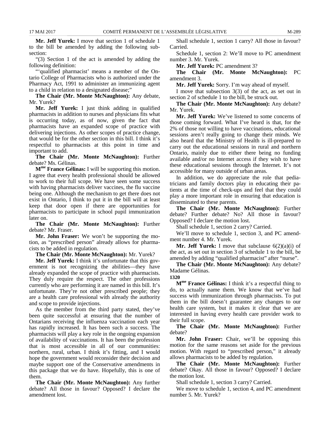**Mr. Jeff Yurek:** I move that section 1 of schedule 1 to the bill be amended by adding the following subsection:

"(3) Section 1 of the act is amended by adding the following definition:

"'qualified pharmacist' means a member of the Ontario College of Pharmacists who is authorized under the Pharmacy Act, 1991 to administer an immunizing agent to a child in relation to a designated disease;"

**The Chair (Mr. Monte McNaughton):** Any debate, Mr. Yurek?

**Mr. Jeff Yurek:** I just think adding in qualified pharmacists in addition to nurses and physicians fits what is occurring today, as of now, given the fact that pharmacists have an expanded scope of practice with delivering injections. As other scopes of practice change, that would be for the other section in this bill. I think it's respectful to pharmacists at this point in time and important to add.

**The Chair (Mr. Monte McNaughton):** Further debate? Ms. Gélinas.

**Mme France Gélinas:** I will be supporting this motion. I agree that every health professional should be allowed to work to their full scope. We have seen some success with having pharmacists deliver vaccines, the flu vaccine being one. Although the mechanism to get there does not exist in Ontario, I think to put it in the bill will at least keep that door open if there are opportunities for pharmacists to participate in school pupil immunization later on.

**The Chair (Mr. Monte McNaughton):** Further debate? Mr. Fraser.

**Mr. John Fraser:** We won't be supporting the motion, as "prescribed person" already allows for pharmacists to be added in regulation.

**The Chair (Mr. Monte McNaughton):** Mr. Yurek?

**Mr. Jeff Yurek:** I think it's unfortunate that this government is not recognizing the abilities—they have already expanded the scope of practice with pharmacists. They duly require the respect. The other professions currently who are performing it are named in this bill. It's unfortunate. They're not other prescribed people; they are a health care professional with already the authority and scope to provide injections.

As the member from the third party stated, they've been quite successful at ensuring that the number of Ontarians receiving the influenza vaccination each year has rapidly increased. It has been such a success. The pharmacists will play a key role in the ongoing expansion of availability of vaccinations. It has been the profession that is most accessible in all of our communities: northern, rural, urban. I think it's fitting, and I would hope the government would reconsider their decision and maybe support one of the Conservative amendments in this package that we do have. Hopefully, this is one of them.

**The Chair (Mr. Monte McNaughton):** Any further debate? All those in favour? Opposed? I declare the amendment lost.

Shall schedule 1, section 1 carry? All those in favour? Carried.

Schedule 1, section 2: We'll move to PC amendment number 3. Mr. Yurek.

**Mr. Jeff Yurek:** PC amendment 3?

**The Chair (Mr. Monte McNaughton):** PC amendment 3.

**Mr. Jeff Yurek:** Sorry. I'm way ahead of myself.

I move that subsection 3(3) of the act, as set out in section 2 of schedule 1 to the bill, be struck out.

**The Chair (Mr. Monte McNaughton):** Any debate? Mr. Yurek.

**Mr. Jeff Yurek:** We've listened to some concerns of those coming forward. What I've heard is that, for the 2% of those not willing to have vaccinations, educational sessions aren't really going to change their minds. We also heard that the Ministry of Health is ill-prepared to carry out the educational sessions in rural and northern Ontario, mainly due to either there being no funding available and/or no Internet access if they wish to have these educational sessions through the Internet. It's not accessible for many outside of urban areas.

In addition, we do appreciate the role that pediatricians and family doctors play in educating their patients at the time of check-ups and feel that they could play a more important role in ensuring that education is disseminated to these parents.

**The Chair (Mr. Monte McNaughton):** Further debate? Further debate? No? All those in favour? Opposed? I declare the motion lost.

Shall schedule 1, section 2 carry? Carried.

We'll move to schedule 1, section 3, and PC amendment number 4. Mr. Yurek.

**Mr. Jeff Yurek:** I move that subclause 6(2)(a)(i) of the act, as set out in section 3 of schedule 1 to the bill, be amended by adding "qualified pharmacist" after "nurse".

**The Chair (Mr. Monte McNaughton):** Any debate? Madame Gélinas.

**1320**

**Mme France Gélinas:** I think it's a respectful thing to do, to actually name them. We know that we've had success with immunization through pharmacists. To put them in the bill doesn't guarantee any changes to our health care system, but it makes it clear that we are interested in having every health care provider work to their full scope.

**The Chair (Mr. Monte McNaughton):** Further debate?

**Mr. John Fraser:** Chair, we'll be opposing this motion for the same reasons set aside for the previous motion. With regard to "prescribed person," it already allows pharmacists to be added by regulation.

**The Chair (Mr. Monte McNaughton):** Further debate? Okay. All those in favour? Opposed? I declare the motion lost.

Shall schedule 1, section 3 carry? Carried.

We move to schedule 1, section 4, and PC amendment number 5. Mr. Yurek?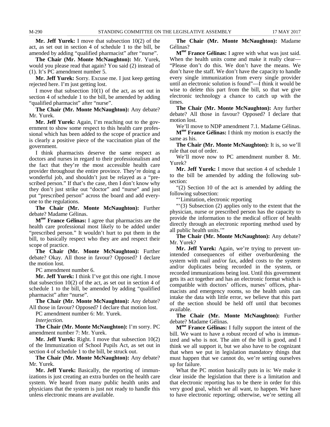**Mr. Jeff Yurek:** I move that subsection 10(2) of the act, as set out in section 4 of schedule 1 to the bill, be amended by adding "qualified pharmacist" after "nurse".

**The Chair (Mr. Monte McNaughton):** Mr. Yurek, would you please read that again? You said (2) instead of (1). It's PC amendment number 5.

**Mr. Jeff Yurek:** Sorry. Excuse me. I just keep getting rejected here. I'm just getting lost.

I move that subsection 10(1) of the act, as set out in section 4 of schedule 1 to the bill, be amended by adding "qualified pharmacist" after "nurse".

**The Chair (Mr. Monte McNaughton):** Any debate? Mr. Yurek.

**Mr. Jeff Yurek:** Again, I'm reaching out to the government to show some respect to this health care professional which has been added to the scope of practice and is clearly a positive piece of the vaccination plan of the government.

I think pharmacists deserve the same respect as doctors and nurses in regard to their professionalism and the fact that they're the most accessible health care provider throughout the entire province. They're doing a wonderful job, and shouldn't just be relayed as a "prescribed person." If that's the case, then I don't know why they don't just strike out "doctor" and "nurse" and just put "prescribed person" across the board and add everyone to the regulations.

**The Chair (Mr. Monte McNaughton):** Further debate? Madame Gélinas.

**Mme France Gélinas:** I agree that pharmacists are the health care professional most likely to be added under "prescribed person." It wouldn't hurt to put them in the bill, to basically respect who they are and respect their scope of practice.

**The Chair (Mr. Monte McNaughton):** Further debate? Okay. All those in favour? Opposed? I declare the motion lost.

PC amendment number 6.

**Mr. Jeff Yurek:** I think I've got this one right. I move that subsection  $10(2)$  of the act, as set out in section 4 of schedule 1 to the bill, be amended by adding "qualified pharmacist" after "nurse".

**The Chair (Mr. Monte McNaughton):** Any debate? All those in favour? Opposed? I declare that motion lost.

PC amendment number 6: Mr. Yurek.

*Interjection.*

**The Chair (Mr. Monte McNaughton):** I'm sorry. PC amendment number 7: Mr. Yurek.

**Mr. Jeff Yurek:** Right. I move that subsection 10(2) of the Immunization of School Pupils Act, as set out in section 4 of schedule 1 to the bill, be struck out.

**The Chair (Mr. Monte McNaughton):** Any debate? Mr. Yurek.

**Mr. Jeff Yurek:** Basically, the reporting of immunizations is just creating an extra burden on the health care system. We heard from many public health units and physicians that the system is just not ready to handle this unless electronic means are available.

**The Chair (Mr. Monte McNaughton):** Madame Gélinas?

**Mme France Gélinas:** I agree with what was just said. When the health units come and make it really clear— "Please don't do this. We don't have the means. We don't have the staff. We don't have the capacity to handle every single immunization from every single provider until an electronic solution is found"—I think it would be wise to delete this part from the bill, so that we give electronic technology a chance to catch up with the times.

**The Chair (Mr. Monte McNaughton):** Any further debate? All those in favour? Opposed? I declare that motion lost.

We'll move to NDP amendment 7.1. Madame Gélinas. **Mme France Gélinas:** I think my motion is exactly the same as his.

**The Chair (Mr. Monte McNaughton):** It is, so we'll rule that out of order.

We'll move now to PC amendment number 8. Mr. Yurek?

**Mr. Jeff Yurek:** I move that section 4 of schedule 1 to the bill be amended by adding the following subsection:

"(2) Section 10 of the act is amended by adding the following subsection:

"'Limitation, electronic reporting

"'(3) Subsection (2) applies only to the extent that the physician, nurse or prescribed person has the capacity to provide the information to the medical officer of health directly through an electronic reporting method used by all public health units.'"

**The Chair (Mr. Monte McNaughton):** Any debate? Mr. Yurek?

**Mr. Jeff Yurek:** Again, we're trying to prevent unintended consequences of either overburdening the system with mail and/or fax, added costs to the system and/or duplicates being recorded in the system, or recorded immunizations being lost. Until this government gets its act together and has an electronic format which is compatible with doctors' offices, nurses' offices, pharmacists and emergency rooms, so the health units can intake the data with little error, we believe that this part of the section should be held off until that becomes available.

**The Chair (Mr. Monte McNaughton):** Further debate? Madame Gélinas.

**Mme France Gélinas:** I fully support the intent of the bill. We want to have a robust record of who is immunized and who is not. The aim of the bill is good, and I think we all support it, but we also have to be cognizant that when we put in legislation mandatory things that must happen that we cannot do, we're setting ourselves up for failure.

What the PC motion basically puts in is: We make it clear inside the legislation that there is a limitation and that electronic reporting has to be there in order for this very good goal, which we all want, to happen. We have to have electronic reporting; otherwise, we're setting all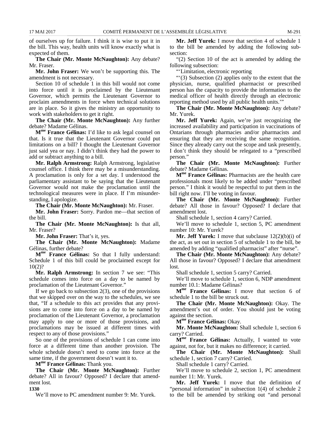of ourselves up for failure. I think it is wise to put it in the bill. This way, health units will know exactly what is expected of them.

**The Chair (Mr. Monte McNaughton):** Any debate? Mr. Fraser.

**Mr. John Fraser:** We won't be supporting this. The amendment is not necessary.

Section 10 of schedule 1 in this bill would not come into force until it is proclaimed by the Lieutenant Governor, which permits the Lieutenant Governor to proclaim amendments in force when technical solutions are in place. So it gives the ministry an opportunity to work with stakeholders to get it right.

**The Chair (Mr. Monte McNaughton):** Any further debate? Madame Gélinas.

**Mme France Gélinas:** I'd like to ask legal counsel on that. Is it true that the Lieutenant Governor could put limitations on a bill? I thought the Lieutenant Governor just said yea or nay. I didn't think they had the power to add or subtract anything to a bill.

**Mr. Ralph Armstrong:** Ralph Armstrong, legislative counsel office. I think there may be a misunderstanding. A proclamation is only for a set day. I understood the parliamentary assistant to be saying that the Lieutenant Governor would not make the proclamation until the technological measures were in place. If I'm misunderstanding, I apologize.

**The Chair (Mr. Monte McNaughton):** Mr. Fraser.

**Mr. John Fraser:** Sorry. Pardon me—that section of the bill.

**The Chair (Mr. Monte McNaughton):** Is that all, Mr. Fraser?

**Mr. John Fraser:** That's it, yes.

**The Chair (Mr. Monte McNaughton):** Madame Gélinas, further debate?

**Mme France Gélinas:** So that I fully understand: Schedule 1 of this bill could be proclaimed except for 10(2)?

**Mr. Ralph Armstrong:** In section 7 we see: "This schedule comes into force on a day to be named by proclamation of the Lieutenant Governor."

If we go back to subsection  $2(3)$ , one of the provisions that we skipped over on the way to the schedules, we see that, "If a schedule to this act provides that any provisions are to come into force on a day to be named by proclamation of the Lieutenant Governor, a proclamation may apply to one or more of those provisions, and proclamations may be issued at different times with respect to any of those provisions."

So one of the provisions of schedule 1 can come into force at a different time than another provision. The whole schedule doesn't need to come into force at the same time, if the government doesn't want it to.

**Mme France Gélinas:** Thank you.

**The Chair (Mr. Monte McNaughton):** Further debate? All in favour? Opposed? I declare that amendment lost.

**1330**

We'll move to PC amendment number 9: Mr. Yurek.

**Mr. Jeff Yurek:** I move that section 4 of schedule 1 to the bill be amended by adding the following subsection:

"(2) Section 10 of the act is amended by adding the following subsection:

"'Limitation, electronic reporting

"'(3) Subsection (2) applies only to the extent that the physician, nurse, qualified pharmacist or prescribed person has the capacity to provide the information to the medical officer of health directly through an electronic reporting method used by all public health units.'"

**The Chair (Mr. Monte McNaughton):** Any debate? Mr. Yurek.

**Mr. Jeff Yurek:** Again, we're just recognizing the increased availability and participation in vaccinations of Ontarians through pharmacies and/or pharmacists and ensuring that they are receiving the same recognition. Since they already carry out the scope and task presently, I don't think they should be relegated to a "prescribed person."

**The Chair (Mr. Monte McNaughton):** Further debate? Madame Gélinas.

**Mme France Gélinas:** Pharmacists are the health care professionals most likely to be added under "prescribed person." I think it would be respectful to put them in the bill right now. I'll be voting in favour.

**The Chair (Mr. Monte McNaughton):** Further debate? All those in favour? Opposed? I declare that amendment lost.

Shall schedule 1, section 4 carry? Carried.

We'll move to schedule 1, section 5, PC amendment number 10: Mr. Yurek?

**Mr. Jeff Yurek:** I move that subclause 12(2)(b)(i) of the act, as set out in section 5 of schedule 1 to the bill, be amended by adding "qualified pharmacist" after "nurse".

**The Chair (Mr. Monte McNaughton):** Any debate? All those in favour? Opposed? I declare that amendment lost.

Shall schedule 1, section 5 carry? Carried.

We'll move to schedule 1, section 6, NDP amendment number 10.1: Madame Gélinas?

**Mme France Gélinas:** I move that section 6 of schedule 1 to the bill be struck out.

**The Chair (Mr. Monte McNaughton):** Okay. The amendment's out of order. You should just be voting against the section.

**Mme France Gélinas:** Okay.

**Mr. Monte McNaughton:** Shall schedule 1, section 6 carry? Carried.

**Mme France Gélinas:** Actually, I wanted to vote against, not for, but it makes no difference; it carried.

**The Chair (Mr. Monte McNaughton):** Shall schedule 1, section 7 carry? Carried.

Shall schedule 1 carry? Carried.

We'll move to schedule 2, section 1, PC amendment number 11: Mr. Yurek.

**Mr. Jeff Yurek:** I move that the definition of "personal information" in subsection 1(4) of schedule 2 to the bill be amended by striking out "and personal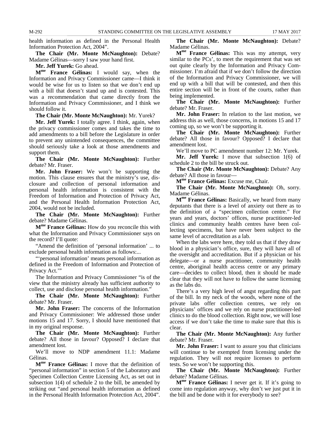health information as defined in the Personal Health Information Protection Act, 2004".

**The Chair (Mr. Monte McNaughton):** Debate? Madame Gélinas—sorry I saw your hand first.

**Mr. Jeff Yurek:** Go ahead.

**Mme France Gélinas:** I would say, when the Information and Privacy Commissioner came—I think it would be wise for us to listen so that we don't end up with a bill that doesn't stand up and is contested. This was a recommendation that came directly from the Information and Privacy Commissioner, and I think we should follow it.

**The Chair (Mr. Monte McNaughton):** Mr. Yurek?

**Mr. Jeff Yurek:** I totally agree. I think, again, when the privacy commissioner comes and takes the time to add amendments to a bill before the Legislature in order to prevent any unintended consequences, the committee should seriously take a look at those amendments and support them.

**The Chair (Mr. Monte McNaughton):** Further debate? Mr. Fraser.

**Mr. John Fraser:** We won't be supporting the motion. This clause ensures that the ministry's use, disclosure and collection of personal information and personal health information is consistent with the Freedom of Information and Protection of Privacy Act, and the Personal Health Information Protection Act, 2004, would not be included.

**The Chair (Mr. Monte McNaughton):** Further debate? Madame Gélinas.

**Mme France Gélinas:** How do you reconcile this with what the Information and Privacy Commissioner says on the record? I'll quote:

"Amend the definition of 'personal information' ... to exclude personal health information as follows:...

"'personal information' means personal information as defined in the Freedom of Information and Protection of Privacy Act.'"

The Information and Privacy Commissioner "is of the view that the ministry already has sufficient authority to collect, use and disclose personal health information."

**The Chair (Mr. Monte McNaughton):** Further debate? Mr. Fraser.

**Mr. John Fraser:** The concerns of the Information and Privacy Commissioner: We addressed those under motions 15 and 17. Sorry, I should have mentioned that in my original response.

**The Chair (Mr. Monte McNaughton):** Further debate? All those in favour? Opposed? I declare that amendment lost.

We'll move to NDP amendment 11.1: Madame Gélinas.

**Mme France Gélinas:** I move that the definition of "personal information" in section 5 of the Laboratory and Specimen Collection Centre Licensing Act, as set out in subsection 1(4) of schedule 2 to the bill, be amended by striking out "and personal health information as defined in the Personal Health Information Protection Act, 2004".

**The Chair (Mr. Monte McNaughton):** Debate? Madame Gélinas.

**Mme France Gélinas:** This was my attempt, very similar to the PCs', to meet the requirement that was set out quite clearly by the Information and Privacy Commissioner. I'm afraid that if we don't follow the direction of the Information and Privacy Commissioner, we will end up with a bill that will be contested, and then this entire section will be in front of the courts, rather than being implemented.

**The Chair (Mr. Monte McNaughton):** Further debate? Mr. Fraser.

**Mr. John Fraser:** In relation to the last motion, we address this as well, those concerns, in motions 15 and 17 coming up, so we won't be supporting it.

**The Chair (Mr. Monte McNaughton):** Further debate? All those in favour? Opposed? I declare that amendment lost.

We'll move to PC amendment number 12: Mr. Yurek.

**Mr. Jeff Yurek:** I move that subsection 1(6) of schedule 2 to the bill be struck out.

**The Chair (Mr. Monte McNaughton):** Debate? Any debate? All those in favour—

**Mme France Gélinas:** Excuse me, Chair.

**The Chair (Mr. Monte McNaughton):** Oh, sorry. Madame Gélinas.

**Mme France Gélinas:** Basically, we heard from many deputants that there is a level of anxiety out there as to the definition of a "specimen collection centre." For years and years, doctors' offices, nurse practitioner-led clinics and community health centres have been collecting specimens, but have never been subject to the same level of accreditation as a lab.

When the labs were here, they told us that if they draw blood in a physician's office, sure, they will have all of the oversight and accreditation. But if a physician or his delegate—or a nurse practitioner, community health centre, aboriginal health access centre or any primary care—decides to collect blood, then it should be made clear that they will not have to follow the same licensing as the labs do.

There's a very high level of angst regarding this part of the bill. In my neck of the woods, where none of the private labs offer collection centres, we rely on physicians' offices and we rely on nurse practitioner-led clinics to do the blood collection. Right now, we will lose access if we don't take the time to make sure that this is clear.

**The Chair (Mr. Monte McNaughton):** Any further debate? Mr. Fraser.

**Mr. John Fraser:** I want to assure you that clinicians will continue to be exempted from licensing under the regulation. They will not require licenses to perform tests. So we won't be supporting this.

**The Chair (Mr. Monte McNaughton):** Further debate? Madame Gélinas.

**Mme France Gélinas:** I never get it. If it's going to come into regulation anyway, why don't we just put it in the bill and be done with it for everybody to see?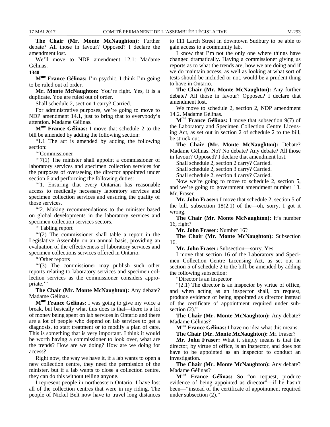**The Chair (Mr. Monte McNaughton):** Further debate? All those in favour? Opposed? I declare the amendment lost.

We'll move to NDP amendment 12.1: Madame Gélinas.

**1340**

**Mme France Gélinas:** I'm psychic. I think I'm going to be ruled out of order.

**Mr. Monte McNaughton:** You're right. Yes, it is a duplicate. You are ruled out of order.

Shall schedule 2, section 1 carry? Carried.

For administrative purposes, we're going to move to NDP amendment 14.1, just to bring that to everybody's attention. Madame Gélinas.

**Mme France Gélinas:** I move that schedule 2 to the bill be amended by adding the following section:

"1.1 The act is amended by adding the following section:

"'Commissioner

"'7(1) The minister shall appoint a commissioner of laboratory services and specimen collection services for the purposes of overseeing the director appointed under section 6 and performing the following duties:

"'1. Ensuring that every Ontarian has reasonable access to medically necessary laboratory services and specimen collection services and ensuring the quality of those services.

"'2. Making recommendations to the minister based on global developments in the laboratory services and specimen collection services sectors.

"'Tabling report

"'(2) The commissioner shall table a report in the Legislative Assembly on an annual basis, providing an evaluation of the effectiveness of laboratory services and specimen collections services offered in Ontario.

"'Other reports

"'(3) The commissioner may publish such other reports relating to laboratory services and specimen collection services as the commissioner considers appropriate."

**The Chair (Mr. Monte McNaughton):** Any debate? Madame Gélinas.

**Mme France Gélinas:** I was going to give my voice a break, but basically what this does is that—there is a lot of money being spent on lab services in Ontario and there are a lot of people who depend on lab services to get a diagnosis, to start treatment or to modify a plan of care. This is something that is very important. I think it would be worth having a commissioner to look over, what are the trends? How are we doing? How are we doing for access?

Right now, the way we have it, if a lab wants to open a new collection centre, they need the permission of the minister, but if a lab wants to close a collection centre, they can do this without telling anyone.

I represent people in northeastern Ontario. I have lost all of the collection centres that were in my riding. The people of Nickel Belt now have to travel long distances

to 111 Larch Street in downtown Sudbury to be able to gain access to a community lab.

I know that I'm not the only one where things have changed dramatically. Having a commissioner giving us reports as to what the trends are, how we are doing and if we do maintain access, as well as looking at what sort of tests should be included or not, would be a prudent thing to have in Ontario.

**The Chair (Mr. Monte McNaughton):** Any further debate? All those in favour? Opposed? I declare that amendment lost.

We move to schedule 2, section 2, NDP amendment 14.2. Madame Gélinas.

**Mme France Gélinas:** I move that subsection 9(7) of the Laboratory and Specimen Collection Centre Licensing Act, as set out in section 2 of schedule 2 to the bill, be struck out.

**The Chair (Mr. Monte McNaughton):** Debate? Madame Gélinas. No? No debate? Any debate? All those in favour? Opposed? I declare that amendment lost.

Shall schedule 2, section 2 carry? Carried.

Shall schedule 2, section 3 carry? Carried.

Shall schedule 2, section 4 carry? Carried.

Now we're going to move to schedule 2, section 5, and we're going to government amendment number 13. Mr. Fraser.

**Mr. John Fraser:** I move that schedule 2, section 5 of the bill, subsection  $18(2.1)$  of the—oh, sorry. I got it wrong.

**The Chair (Mr. Monte McNaughton):** It's number 16, right?

**Mr. John Fraser:** Number 16?

**The Chair (Mr. Monte McNaughton):** Subsection 16.

**Mr. John Fraser:** Subsection—sorry. Yes.

I move that section 16 of the Laboratory and Specimen Collection Centre Licensing Act, as set out in section 5 of schedule 2 to the bill, be amended by adding the following subsection:

"Director is an inspector

"(2.1) The director is an inspector by virtue of office, and when acting as an inspector shall, on request, produce evidence of being appointed as director instead of the certificate of appointment required under subsection  $(2)$ ."

**The Chair (Mr. Monte McNaughton):** Any debate? Madame Gélinas?

**Mme France Gélinas:** I have no idea what this means.

**The Chair (Mr. Monte McNaughton):** Mr. Fraser?

**Mr. John Fraser:** What it simply means is that the director, by virtue of office, is an inspector, and does not have to be appointed as an inspector to conduct an investigation.

**The Chair (Mr. Monte McNaughton):** Any debate? Madame Gélinas?

**Mme France Gélinas:** So "on request, produce evidence of being appointed as director"—if he hasn't been—"instead of the certificate of appointment required under subsection (2)."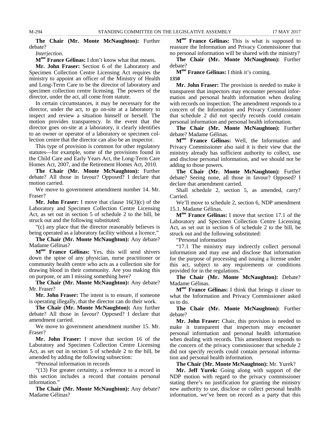**The Chair (Mr. Monte McNaughton):** Further debate?

*Interjection.*

**Mme France Gélinas:** I don't know what that means.

**Mr. John Fraser:** Section 6 of the Laboratory and Specimen Collection Centre Licensing Act requires the ministry to appoint an officer of the Ministry of Health and Long-Term Care to be the director of laboratory and specimen collection centre licensing. The powers of the director, under the act, all come from statute.

In certain circumstances, it may be necessary for the director, under the act, to go on-site at a laboratory to inspect and review a situation himself or herself. The motion provides transparency. In the event that the director goes on-site at a laboratory, it clearly identifies to an owner or operator of a laboratory or specimen collection centre that the director can also be an inspector.

This type of provision is common for other regulatory statutes—for example, some of the provisions found in the Child Care and Early Years Act, the Long-Term Care Homes Act, 2007, and the Retirement Homes Act, 2010.

**The Chair (Mr. Monte McNaughton):** Further debate? All those in favour? Opposed? I declare that motion carried.

We move to government amendment number 14. Mr. Fraser?

**Mr. John Fraser:** I move that clause 16(3)(c) of the Laboratory and Specimen Collection Centre Licensing Act, as set out in section 5 of schedule 2 to the bill, be struck out and the following substituted:

"(c) any place that the director reasonably believes is being operated as a laboratory facility without a licence."

**The Chair (Mr. Monte McNaughton):** Any debate? Madame Gélinas?

**Mme France Gélinas:** Yes, this will send shivers down the spine of any physician, nurse practitioner or community health centre who acts as a collection site for drawing blood in their community. Are you making this on purpose, or am I missing something here?

**The Chair (Mr. Monte McNaughton):** Any debate? Mr. Fraser?

**Mr. John Fraser:** The intent is to ensure, if someone is operating illegally, that the director can do their work.

**The Chair (Mr. Monte McNaughton):** Any further debate? All those in favour? Opposed? I declare that amendment carried.

We move to government amendment number 15. Mr. Fraser?

**Mr. John Fraser:** I move that section 16 of the Laboratory and Specimen Collection Centre Licensing Act, as set out in section 5 of schedule 2 to the bill, be amended by adding the following subsection:

"Personal information in records

"(13) For greater certainty, a reference to a record in this section includes a record that contains personal information."

**The Chair (Mr. Monte McNaughton):** Any debate? Madame Gélinas?

**Mme France Gélinas:** This is what is supposed to reassure the Information and Privacy Commissioner that no personal information will be shared with the ministry?

**The Chair (Mr. Monte McNaughton):** Further debate?

#### **Mme France Gélinas:** I think it's coming. **1350**

**Mr. John Fraser:** The provision is needed to make it transparent that inspectors may encounter personal information and personal health information when dealing with records on inspection. The amendment responds to a concern of the Information and Privacy Commissioner that schedule 2 did not specify records could contain personal information and personal health information.

**The Chair (Mr. Monte McNaughton):** Further debate? Madame Gélinas.

**Mme France Gélinas:** Well, the Information and Privacy Commissioner also said it is their view that the ministry already has sufficient authority to collect, use and disclose personal information, and we should not be adding to those powers.

**The Chair (Mr. Monte McNaughton):** Further debate? Seeing none, all those in favour? Opposed? I declare that amendment carried.

Shall schedule 2, section 5, as amended, carry? Carried.

We'll move to schedule 2, section 6, NDP amendment 15.1. Madame Gélinas.

**Mme France Gélinas:** I move that section 17.1 of the Laboratory and Specimen Collection Centre Licensing Act, as set out in section 6 of schedule 2 to the bill, be struck out and the following substituted:

"Personal information

"17.1 The ministry may indirectly collect personal information and may use and disclose that information for the purpose of processing and issuing a license under this act, subject to any requirements or conditions provided for in the regulations."

**The Chair (Mr. Monte McNaughton):** Debate? Madame Gélinas.

**Mme France Gélinas:** I think that brings it closer to what the Information and Privacy Commissioner asked us to do.

**The Chair (Mr. Monte McNaughton):** Further debate?

**Mr. John Fraser:** Chair, this provision is needed to make it transparent that inspectors may encounter personal information and personal health information when dealing with records. This amendment responds to the concern of the privacy commissioner that schedule 2 did not specify records could contain personal information and personal health information.

**The Chair (Mr. Monte McNaughton):** Mr. Yurek?

**Mr. Jeff Yurek:** Going along with support of the NDP motion with regard to the privacy commissioner stating there's no justification for granting the ministry new authority to use, disclose or collect personal health information, we've been on record as a party that this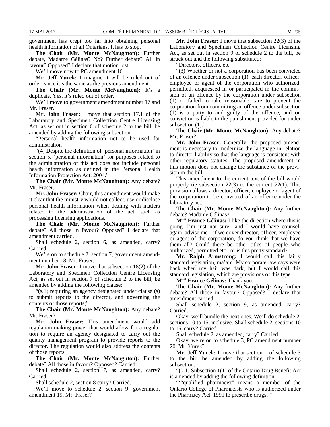government has crept too far into obtaining personal health information of all Ontarians. It has to stop.

**The Chair (Mr. Monte McNaughton):** Further debate, Madame Gélinas? No? Further debate? All in favour? Opposed? I declare that motion lost.

We'll move now to PC amendment 16.

**Mr. Jeff Yurek:** I imagine it will be ruled out of order, since it's the same as the previous amendment.

**The Chair (Mr. Monte McNaughton):** It's a duplicate. Yes, it's ruled out of order.

We'll move to government amendment number 17 and Mr. Fraser.

**Mr. John Fraser:** I move that section 17.1 of the Laboratory and Specimen Collection Centre Licensing Act, as set out in section 6 of schedule 2 to the bill, be amended by adding the following subsection:

"Personal health information not to be used for administration

"(4) Despite the definition of 'personal information' in section 5, 'personal information' for purposes related to the administration of this act does not include personal health information as defined in the Personal Health Information Protection Act, 2004."

**The Chair (Mr. Monte McNaughton):** Any debate? Mr. Fraser.

**Mr. John Fraser:** Chair, this amendment would make it clear that the ministry would not collect, use or disclose personal health information when dealing with matters related to the administration of the act, such as processing licensing applications.

**The Chair (Mr. Monte McNaughton):** Further debate? All those in favour? Opposed? I declare that amendment carried.

Shall schedule 2, section 6, as amended, carry? Carried.

We're on to schedule 2, section 7, government amendment number 18. Mr. Fraser.

**Mr. John Fraser:** I move that subsection 18(2) of the Laboratory and Specimen Collection Centre Licensing Act, as set out in section 7 of schedule 2 to the bill, be amended by adding the following clause:

"(s.1) requiring an agency designated under clause (s) to submit reports to the director, and governing the contents of those reports;"

**The Chair (Mr. Monte McNaughton):** Any debate? Mr. Fraser?

**Mr. John Fraser:** This amendment would add regulation-making power that would allow for a regulation to require an agency designated to carry out the quality management program to provide reports to the director. The regulation would also address the contents of those reports.

**The Chair (Mr. Monte McNaughton):** Further debate? All those in favour? Opposed? Carried.

Shall schedule 2, section 7, as amended, carry? Carried.

Shall schedule 2, section 8 carry? Carried.

We'll move to schedule 2, section 9: government amendment 19. Mr. Fraser?

**Mr. John Fraser:** I move that subsection 22(3) of the Laboratory and Specimen Collection Centre Licensing Act, as set out in section 9 of schedule 2 to the bill, be struck out and the following substituted:

"Directors, officers, etc.

"(3) Whether or not a corporation has been convicted of an offence under subsection (1), each director, officer, employee or agent of the corporation who authorized, permitted, acquiesced in or participated in the commission of an offence by the corporation under subsection (1) or failed to take reasonable care to prevent the corporation from committing an offence under subsection (1) is a party to and guilty of the offence, and on conviction is liable to the punishment provided for under subsection  $(1)$ ."

**The Chair (Mr. Monte McNaughton):** Any debate? Mr. Fraser?

**Mr. John Fraser:** Generally, the proposed amendment is necessary to modernize the language in relation to director liability so that the language is consistent with other regulatory statutes. The proposed amendment in this motion does not change the substance of the provision in the bill.

This amendment to the current text of the bill would properly tie subsection 22(3) to the current 22(1). This provision allows a director, officer, employee or agent of the corporation to be convicted of an offence under the laboratory act.

**The Chair (Mr. Monte McNaughton):** Any further debate? Madame Gélinas?

**Mme France Gélinas:** I like the direction where this is going. I'm just not sure—and I would have counsel, again, advise me—if we cover director, officer, employee or agent of the corporation, do you think that we have them all? Could there be other titles of people who authorized, permitted etc., or is this pretty standard?

**Mr. Ralph Armstrong:** I would call this fairly standard legislation, ma'am. My corporate law days were back when my hair was dark, but I would call this standard legislation, which are provisions of this type.

**Mme France Gélinas:** Thank you.

**The Chair (Mr. Monte McNaughton):** Any further debate? All those in favour? Opposed? I declare that amendment carried.

Shall schedule 2, section 9, as amended, carry? Carried.

Okay, we'll bundle the next ones. We'll do schedule 2, sections 10 to 15, inclusive. Shall schedule 2, sections 10 to 15, carry? Carried.

Shall schedule 2, as amended, carry? Carried.

Okay, we're on to schedule 3, PC amendment number 20. Mr. Yurek?

**Mr. Jeff Yurek:** I move that section 1 of schedule 3 to the bill be amended by adding the following subsection:

"(0.1) Subsection 1(1) of the Ontario Drug Benefit Act is amended by adding the following definition:

"""qualified pharmacist" means a member of the Ontario College of Pharmacists who is authorized under the Pharmacy Act, 1991 to prescribe drugs;'"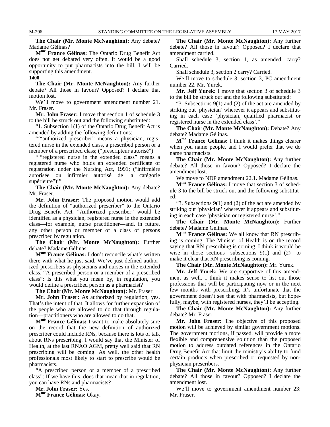**The Chair (Mr. Monte McNaughton):** Any debate? Madame Gélinas?

**Mme France Gélinas:** The Ontario Drug Benefit Act does not get debated very often. It would be a good opportunity to put pharmacists into the bill. I will be supporting this amendment.

**1400**

**The Chair (Mr. Monte McNaughton):** Any further debate? All those in favour? Opposed? I declare that motion lost.

We'll move to government amendment number 21. Mr. Fraser.

**Mr. John Fraser:** I move that section 1 of schedule 3 to the bill be struck out and the following substituted:

"1. Subsection 1(1) of the Ontario Drug Benefit Act is amended by adding the following definitions:

""authorized prescriber" means a physician, registered nurse in the extended class, a prescribed person or a member of a prescribed class; ("prescripteur autorisé")

""registered nurse in the extended class" means a registered nurse who holds an extended certificate of registration under the Nursing Act, 1991; ("infirmière autorisée ou infirmier autorisé de la catégorie supérieure")'"

**The Chair (Mr. Monte McNaughton):** Any debate? Mr. Fraser.

**Mr. John Fraser:** The proposed motion would add the definition of "authorized prescriber" to the Ontario Drug Benefit Act. "Authorized prescriber" would be identified as a physician, registered nurse in the extended class—for example, nurse practitioner—and, in future, any other person or member of a class of persons prescribed by regulation.

**The Chair (Mr. Monte McNaughton):** Further debate? Madame Gélinas.

**Mme France Gélinas:** I don't reconcile what's written there with what he just said. We've just defined authorized prescribers as physicians and nurses in the extended class. "A prescribed person or a member of a prescribed class": Is this what you mean by, in regulation, you would define a prescribed person as a pharmacist?

**The Chair (Mr. Monte McNaughton):** Mr. Fraser.

**Mr. John Fraser:** As authorized by regulation, yes. That's the intent of that. It allows for further expansion of the people who are allowed to do that through regulation—practitioners who are allowed to do that.

**Mme France Gélinas:** I want to make absolutely sure on the record that the new definition of authorized prescriber could include RNs, because there is lots of talk about RNs prescribing. I would say that the Minister of Health, at the last RNAO AGM, pretty well said that RN prescribing will be coming. As well, the other health professionals most likely to start to prescribe would be pharmacists.

"A prescribed person or a member of a prescribed class": If we have this, does that mean that in regulation, you can have RNs and pharmacists?

**Mr. John Fraser:** Yes.

**Mme France Gélinas:** Okay.

**The Chair (Mr. Monte McNaughton):** Any further debate? All those in favour? Opposed? I declare that amendment carried.

Shall schedule 3, section 1, as amended, carry? Carried.

Shall schedule 3, section 2 carry? Carried.

We'll move to schedule 3, section 3, PC amendment number 22. Mr. Yurek.

**Mr. Jeff Yurek:** I move that section 3 of schedule 3 to the bill be struck out and the following substituted:

"3. Subsections  $9(1)$  and (2) of the act are amended by striking out 'physician' wherever it appears and substituting in each case 'physician, qualified pharmacist or registered nurse in the extended class'."

**The Chair (Mr. Monte McNaughton):** Debate? Any debate? Madame Gélinas.

**Mme France Gélinas:** I think it makes things clearer when you name people, and I would prefer that we do name pharmacists.

**The Chair (Mr. Monte McNaughton):** Any further debate? All those in favour? Opposed? I declare the amendment lost.

We move to NDP amendment 22.1. Madame Gélinas.

**Mme France Gélinas:** I move that section 3 of schedule 3 to the bill be struck out and the following substituted:

"3. Subsections 9(1) and (2) of the act are amended by striking out 'physician' wherever it appears and substituting in each case 'physician or registered nurse'."

**The Chair (Mr. Monte McNaughton):** Further debate? Madame Gélinas.

**Mme France Gélinas:** We all know that RN prescribing is coming. The Minister of Health is on the record saying that RN prescribing is coming. I think it would be wise in those sections—subsections 9(1) and (2)—to make it clear that RN prescribing is coming.

**The Chair (Mr. Monte McNaughton):** Mr. Yurek.

**Mr. Jeff Yurek:** We are supportive of this amendment as well. I think it makes sense to list out those professions that will be participating now or in the next few months with prescribing. It's unfortunate that the government doesn't see that with pharmacists, but hopefully, maybe, with registered nurses, they'll be accepting.

**The Chair (Mr. Monte McNaughton):** Any further debate? Mr. Fraser.

**Mr. John Fraser:** The objective of this proposed motion will be achieved by similar government motions. The government motions, if passed, will provide a more flexible and comprehensive solution than the proposed motion to address outdated references in the Ontario Drug Benefit Act that limit the ministry's ability to fund certain products when prescribed or requested by nonphysician prescribers.

**The Chair (Mr. Monte McNaughton):** Any further debate? All those in favour? Opposed? I declare the amendment lost.

We'll move to government amendment number 23: Mr. Fraser.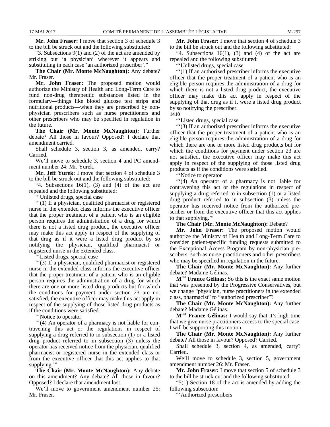**Mr. John Fraser:** I move that section 3 of schedule 3 to the bill be struck out and the following substituted:

"3. Subsections  $9(1)$  and (2) of the act are amended by striking out 'a physician' wherever it appears and substituting in each case 'an authorized prescriber'."

**The Chair (Mr. Monte McNaughton):** Any debate? Mr. Fraser.

**Mr. John Fraser:** The proposed motion would authorize the Ministry of Health and Long-Term Care to fund non-drug therapeutic substances listed in the formulary—things like blood glucose test strips and nutritional products—when they are prescribed by nonphysician prescribers such as nurse practitioners and other prescribers who may be specified in regulation in the future.

**The Chair (Mr. Monte McNaughton):** Further debate? All those in favour? Opposed? I declare that amendment carried.

Shall schedule 3, section 3, as amended, carry? Carried.

We'll move to schedule 3, section 4 and PC amendment number 24: Mr. Yurek.

**Mr. Jeff Yurek:** I move that section 4 of schedule 3 to the bill be struck out and the following substituted:

"4. Subsections  $16(1)$ ,  $(3)$  and  $(4)$  of the act are repealed and the following substituted:

"'Unlisted drugs, special case

"'(1) If a physician, qualified pharmacist or registered nurse in the extended class informs the executive officer that the proper treatment of a patient who is an eligible person requires the administration of a drug for which there is not a listed drug product, the executive officer may make this act apply in respect of the supplying of that drug as if it were a listed drug product by so notifying the physician, qualified pharmacist or registered nurse in the extended class.

"'Listed drugs, special case

"'(3) If a physician, qualified pharmacist or registered nurse in the extended class informs the executive officer that the proper treatment of a patient who is an eligible person requires the administration of a drug for which there are one or more listed drug products but for which the conditions for payment under section 23 are not satisfied, the executive officer may make this act apply in respect of the supplying of those listed drug products as if the conditions were satisfied.

"'Notice to operator

"'(4) An operator of a pharmacy is not liable for contravening this act or the regulations in respect of supplying a drug referred to in subsection (1) or a listed drug product referred to in subsection (3) unless the operator has received notice from the physician, qualified pharmacist or registered nurse in the extended class or from the executive officer that this act applies to that supplying."

**The Chair (Mr. Monte McNaughton):** Any debate on this amendment? Any debate? All those in favour? Opposed? I declare that amendment lost.

We'll move to government amendment number 25: Mr. Fraser.

**Mr. John Fraser:** I move that section 4 of schedule 3 to the bill be struck out and the following substituted:

"4. Subsections  $16(1)$ ,  $(3)$  and  $(4)$  of the act are repealed and the following substituted:

"'Unlisted drugs, special case

"'(1) If an authorized prescriber informs the executive officer that the proper treatment of a patient who is an eligible person requires the administration of a drug for which there is not a listed drug product, the executive officer may make this act apply in respect of the supplying of that drug as if it were a listed drug product by so notifying the prescriber. **1410**

"'Listed drugs, special case

"'(3) If an authorized prescriber informs the executive officer that the proper treatment of a patient who is an eligible person requires the administration of a drug for which there are one or more listed drug products but for which the conditions for payment under section 23 are not satisfied, the executive officer may make this act apply in respect of the supplying of those listed drug products as if the conditions were satisfied.

"'Notice to operator

"(4) An operator of a pharmacy is not liable for contravening this act or the regulations in respect of supplying a drug referred to in subsection (1) or a listed drug product referred to in subsection (3) unless the operator has received notice from the authorized prescriber or from the executive officer that this act applies to that supplying.'"

**The Chair (Mr. Monte McNaughton):** Debate?

**Mr. John Fraser:** The proposed motion would authorize the Ministry of Health and Long-Term Care to consider patient-specific funding requests submitted to the Exceptional Access Program by non-physician prescribers, such as nurse practitioners and other prescribers who may be specified in regulation in the future.

**The Chair (Mr. Monte McNaughton):** Any further debate? Madame Gélinas.

**Mme France Gélinas:** So this is the exact same motion that was presented by the Progressive Conservatives, but we change "physician, nurse practitioners in the extended class, pharmacist" to "authorized prescriber"?

**The Chair (Mr. Monte McNaughton):** Any further debate? Madame Gélinas.

**Mme France Gélinas:** I would say that it's high time that we give nurse practitioners access to the special case. I will be supporting this motion.

**The Chair (Mr. Monte McNaughton):** Any further debate? All those in favour? Opposed? Carried.

Shall schedule 3, section 4, as amended, carry? Carried.

We'll move to schedule 3, section 5, government amendment number 26: Mr. Fraser.

**Mr. John Fraser:** I move that section 5 of schedule 3 to the bill be struck out and the following substituted:

"5(1) Section 18 of the act is amended by adding the following subsection:

"'Authorized prescribers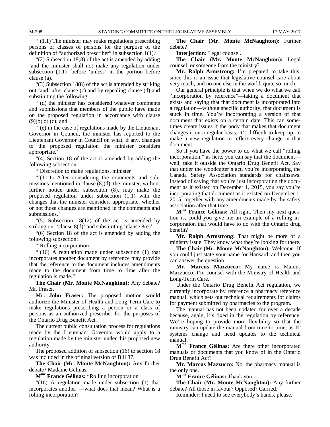$\cdot\cdot\cdot(1.1)$  The minister may make regulations prescribing persons or classes of persons for the purpose of the definition of "authorized prescriber" in subsection 1(1).'

"(2) Subsection 18(8) of the act is amended by adding 'and the minister shall not make any regulation under subsection (1.1)' before 'unless' in the portion before clause (a).

"(3) Subsection 18(8) of the act is amended by striking out 'and' after clause (c) and by repealing clause (d) and substituting the following:

"'(d) the minister has considered whatever comments and submissions that members of the public have made on the proposed regulation in accordance with clause (9)(b) or (c); and

"'(e) in the case of regulations made by the Lieutenant Governor in Council, the minister has reported to the Lieutenant Governor in Council on what, if any, changes to the proposed regulation the minister considers appropriate.'

"(4) Section 18 of the act is amended by adding the following subsection:

"'Discretion to make regulations, minister

"(11.1) After considering the comments and submissions mentioned in clause (8)(d), the minister, without further notice under subsection (8), may make the proposed regulation under subsection (1.1) with the changes that the minister considers appropriate, whether or not those changes are mentioned in the comments and submissions.'

"(5) Subsection 18(12) of the act is amended by striking out 'clause 8(d)' and substituting 'clause 8(e)'.

"(6) Section 18 of the act is amended by adding the following subsection:

"'Rolling incorporation

"'(16) A regulation made under subsection (1) that incorporates another document by reference may provide that the reference to the document includes amendments made to the document from time to time after the regulation is made.'"

**The Chair (Mr. Monte McNaughton):** Any debate? Mr. Fraser.

**Mr. John Fraser:** The proposed motion would authorize the Minister of Health and Long-Term Care to make regulations prescribing a person or a class of persons as an authorized prescriber for the purposes of the Ontario Drug Benefit Act.

The current public consultation process for regulations made by the Lieutenant Governor would apply to a regulation made by the minister under this proposed new authority.

The proposed addition of subsection (16) to section 18 was included in the original version of Bill 87.

**The Chair (Mr. Monte McNaughton):** Any further debate? Madame Gélinas.

**Mme France Gélinas:** "Rolling incorporation

"(16) A regulation made under subsection (1) that incorporates another"—what does that mean? What is a rolling incorporation?

**The Chair (Mr. Monte McNaughton):** Further debate?

**Interjection:** Legal counsel.

**The Chair (Mr. Monte McNaughton):** Legal counsel, or someone from the ministry?

**Mr. Ralph Armstrong:** I'm prepared to take this, since this is an issue that legislative counsel care about very much, and no one else in the world, quite so much.

Our general principle is that when we do what we call "incorporation by reference"—taking a document that exists and saying that that document is incorporated into a regulation—without specific authority, that document is stuck in time. You're incorporating a version of that document that exists on a certain date. This can sometimes create issues if the body that makes that document changes it on a regular basis. It's difficult to keep up, to make a new regulation to reflect every change in that document.

So if you have the power to do what we call "rolling incorporation," as here, you can say that the document well, take it outside the Ontario Drug Benefit Act. Say that under the woodcutter's act, you're incorporating the Canada Safety Association standards for chainsaws. Instead of saying that you're just incorporating the document as it existed on December 1, 2015, you say you're incorporating that document as it existed on December 1, 2015, together with any amendments made by the safety association after that time.

**Mme France Gélinas:** All right. Then my next question is, could you give me an example of a rolling incorporation that would have to do with the Ontario drug benefit?

**Mr. Ralph Armstrong:** That might be more of a ministry issue. They know what they're looking for there.

**The Chair (Mr. Monte McNaughton):** Welcome. If you could just state your name for Hansard, and then you can answer the question.

**Mr. Marcus Mazzucco:** My name is Marcus Mazzucco. I'm counsel with the Ministry of Health and Long-Term Care.

Under the Ontario Drug Benefit Act regulation, we currently incorporate by reference a pharmacy reference manual, which sets out technical requirements for claims for payment submitted by pharmacies to the program.

The manual has not been updated for over a decade because, again, it's fixed in the regulation by reference. We're hoping to provide more flexibility so that the ministry can update the manual from time to time, as IT systems change and need updates to the technical manual.

**Mme France Gélinas:** Are there other incorporated manuals or documents that you know of in the Ontario Drug Benefit Act?

**Mr. Marcus Mazzucco:** No, the pharmacy manual is the only one.

**Mme France Gélinas:** Thank you.

**The Chair (Mr. Monte McNaughton):** Any further debate? All those in favour? Opposed? Carried.

Reminder: I need to see everybody's hands, please.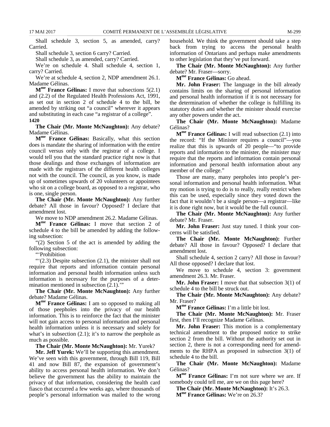Shall schedule 3, section 5, as amended, carry? Carried.

Shall schedule 3, section 6 carry? Carried.

Shall schedule 3, as amended, carry? Carried.

We're on schedule 4. Shall schedule 4, section 1, carry? Carried.

We're at schedule 4, section 2, NDP amendment 26.1. Madame Gélinas.

**Mme France Gélinas:** I move that subsections 5(2.1) and (2.2) of the Regulated Health Professions Act, 1991, as set out in section 2 of schedule 4 to the bill, be amended by striking out "a council" wherever it appears and substituting in each case "a registrar of a college". **1420**

**The Chair (Mr. Monte McNaughton):** Any debate? Madame Gélinas.

**Mme France Gélinas:** Basically, what this section does is mandate the sharing of information with the entire council versus only with the registrar of a college. I would tell you that the standard practice right now is that those dealings and those exchanges of information are made with the registrars of the different health colleges not with the council. The council, as you know, is made up of sometimes upwards of 20 volunteers or appointees who sit on a college board, as opposed to a registrar, who is one, single person.

**The Chair (Mr. Monte McNaughton):** Any further debate? All those in favour? Opposed? I declare that amendment lost.

We move to NDP amendment 26.2. Madame Gélinas.

**Mme France Gélinas:** I move that section 2 of schedule 4 to the bill be amended by adding the following subsection:

"(2) Section 5 of the act is amended by adding the following subsection:

"'Prohibition

 $\lq(2.3)$  Despite subsection (2.1), the minister shall not require that reports and information contain personal information and personal health information unless such information is necessary for the purposes of a determination mentioned in subsection  $(2.1)$ ."

**The Chair (Mr. Monte McNaughton):** Any further debate? Madame Gélinas.

**Mme France Gélinas:** I am so opposed to making all of those peepholes into the privacy of our health information. This is to reinforce the fact that the minister will not gain access to personal information and personal health information unless it is necessary and solely for what's in subsection  $(2.1)$ ; it's to narrow the peephole as much as possible.

**The Chair (Mr. Monte McNaughton):** Mr. Yurek?

**Mr. Jeff Yurek:** We'll be supporting this amendment. We've seen with this government, through Bill 119, Bill 41 and now Bill 87, the expansion of government's ability to access personal health information. We don't believe the government has the ability to maintain the privacy of that information, considering the health card fiasco that occurred a few weeks ago, where thousands of people's personal information was mailed to the wrong household. We think the government should take a step back from trying to access the personal health information of Ontarians and perhaps make amendments to other legislation that they've put forward.

**The Chair (Mr. Monte McNaughton):** Any further debate? Mr. Fraser—sorry.

**Mme France Gélinas:** Go ahead.

**Mr. John Fraser:** The language in the bill already contains limits on the sharing of personal information and personal health information if it is not necessary for the determination of whether the college is fulfilling its statutory duties and whether the minister should exercise any other powers under the act.

**The Chair (Mr. Monte McNaughton):** Madame Gélinas?

**Mme France Gélinas:** I will read subsection (2.1) into the record: "If the Minister requires a council"—you realize that this is upwards of 20 people—"to provide reports and information to the minister, the minister may require that the reports and information contain personal information and personal health information about any member of the college."

Those are many, many peepholes into people's personal information and personal health information. What my motion is trying to do is to really, really restrict when this can be used, especially since they voted down the fact that it wouldn't be a single person—a registrar—like it is done right now, but it would be the full council.

**The Chair (Mr. Monte McNaughton):** Any further debate? Mr. Fraser.

**Mr. John Fraser:** Just stay tuned. I think your concerns will be satisfied.

**The Chair (Mr. Monte McNaughton):** Further debate? All those in favour? Opposed? I declare that amendment lost.

Shall schedule 4, section 2 carry? All those in favour? All those opposed? I declare that lost.

We move to schedule 4, section 3: government amendment 26.3. Mr. Fraser.

**Mr. John Fraser:** I move that that subsection 3(1) of schedule 4 to the bill be struck out.

**The Chair (Mr. Monte McNaughton):** Any debate? Mr. Fraser?

**Mme France Gélinas:** I'm a little bit lost.

**The Chair (Mr. Monte McNaughton):** Mr. Fraser first, then I'll recognize Madame Gélinas.

**Mr. John Fraser:** This motion is a complementary technical amendment to the proposed notice to strike section 2 from the bill. Without the authority set out in section 2, there is not a corresponding need for amendments to the RHPA as proposed in subsection 3(1) of schedule 4 to the bill.

**The Chair (Mr. Monte McNaughton):** Madame Gélinas?

**Mme France Gélinas:** I'm not sure where we are. If somebody could tell me, are we on this page here?

**The Chair (Mr. Monte McNaughton):** It's 26.3.

**Mme France Gélinas:** We're on 26.3?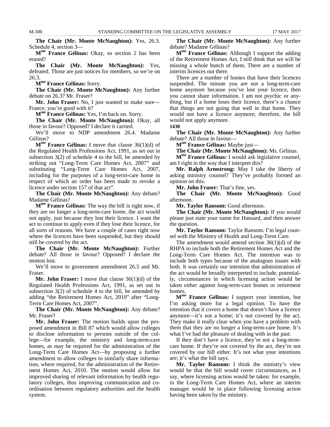**The Chair (Mr. Monte McNaughton):** Yes, 26.3. Schedule 4, section 3—

**Mme France Gélinas:** Okay, so section 2 has been erased?

**The Chair (Mr. Monte McNaughton):** Yes, defeated. Those are just notices for members, so we're on 26.3.

**Mme France Gélinas:** Sorry.

**The Chair (Mr. Monte McNaughton):** Any further debate on 26.3? Mr. Fraser?

**Mr. John Fraser:** No, I just wanted to make sure— France, you're good with it?

**Mme France Gélinas:** Yes, I'm back on. Sorry.

**The Chair (Mr. Monte McNaughton):** Okay, all those in favour? Opposed? I declare it carried.

We'll move to NDP amendment 26.4. Madame Gélinas?

**Mme France Gélinas:** I move that clause 36(1)(d) of the Regulated Health Professions Act, 1991, as set out in subsection 3(2) of schedule 4 to the bill, be amended by striking out "Long-Term Care Homes Act, 2007" and substituting "Long-Term Care Homes Act, 2007, including for the purposes of a long-term-care home in respect of which an order has been made to revoke a licence under section 157 of that act".

**The Chair (Mr. Monte McNaughton):** Any debate? Madame Gélinas?

**Mme France Gélinas:** The way the bill is right now, if they are no longer a long-term-care home, the act would not apply, just because they lost their licence. I want the act to continue to apply even if they lose their licence, for all sorts of reasons. We have a couple of cases right now where the licences have been suspended, but they should still be covered by the act.

**The Chair (Mr. Monte McNaughton):** Further debate? All those in favour? Opposed? I declare the motion lost.

We'll move to government amendment 26.5 and Mr. Fraser.

**Mr. John Fraser:** I move that clause 36(1)(d) of the Regulated Health Professions Act, 1991, as set out in subsection  $3(2)$  of schedule 4 to the bill, be amended by adding "the Retirement Homes Act, 2010" after "Long-Term Care Homes Act, 2007".

**The Chair (Mr. Monte McNaughton):** Any debate? Mr. Fraser?

**Mr. John Fraser:** The motion builds upon the proposed amendment in Bill 87 which would allow colleges to disclose information to persons outside of the college—for example, the ministry and long-term-care homes, as may be required for the administration of the Long-Term Care Homes Act—by proposing a further amendment to allow colleges to similarly share information, where required, for the administration of the Retirement Homes Act, 2010. The motion would allow for improved sharing of relevant information by health regulatory colleges, thus improving communication and coordination between regulatory authorities and the health system.

**The Chair (Mr. Monte McNaughton):** Any further debate? Madame Gélinas?

**Mme France Gélinas:** Although I support the adding of the Retirement Homes Act, I still think that we will be missing a whole bunch of them. There are a number of interim licences out there.

There are a number of homes that have their licences suspended. The minute you are not a long-term-care home anymore because you've lost your licence, then you cannot share information. I am not psychic or anything, but if a home loses their licence, there's a chance that things are not going that well in that home. They would not have a licence anymore; therefore, the bill would not apply anymore. **1430**

**The Chair (Mr. Monte McNaughton):** Any further debate? All those in favour—

**Mme France Gélinas:** Maybe just—

**The Chair (Mr. Monte McNaughton):** Ms. Gélinas.

**Mme France Gélinas:** I would ask legislative counsel, am I right in the way that I interpret this?

**Mr. Ralph Armstrong:** May I take the liberty of asking ministry counsel? They've probably formed an opinion on this.

**Mr. John Fraser:** That's fine, yes.

**The Chair (Mr. Monte McNaughton):** Good afternoon.

**Mr. Taylor Ransom:** Good afternoon.

**The Chair (Mr. Monte McNaughton):** If you would please just state your name for Hansard, and then answer the question.

**Mr. Taylor Ransom:** Taylor Ransom. I'm legal counsel with the Ministry of Health and Long-Term Care.

The amendment would amend section  $36(1)(d)$  of the RHPA to include both the Retirement Homes Act and the Long-Term Care Homes Act. The intention was to include both types because of the analogous issues with both. It was certainly our intention that administration of the act would be broadly interpreted to include, potentially, circumstances in which licensing action would be taken either against long-term-care homes or retirement homes.

**Mme France Gélinas:** I support your intention, but I'm asking more for a legal opinion. To have the intention that it covers a home that doesn't have a licence anymore—it's not a home; it's not covered by the act. They make it really clear when you have a problem with them that they are no longer a long-term-care home. It's what I've had the pleasure of dealing with in the past.

If they don't have a licence, they're not a long-termcare home. If they're not covered by the act, they're not covered by our bill either. It's not what your intentions are; it's what the bill says.

**Mr. Taylor Ransom:** I think the ministry's view would be that the bill would cover circumstances, as I say, where licensing action would be taken: for example, in the Long-Term Care Homes Act, where an interim manager would be in place following licensing action having been taken by the ministry.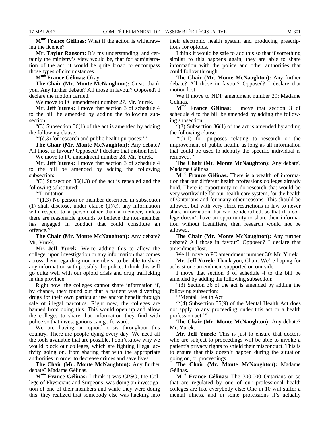**Mme France Gélinas:** What if the action is withdrawing the licence?

**Mr. Taylor Ransom:** It's my understanding, and certainly the ministry's view would be, that for administration of the act, it would be quite broad to encompass those types of circumstances.

**Mme France Gélinas:** Okay.

**The Chair (Mr. Monte McNaughton):** Great, thank you. Any further debate? All those in favour? Opposed? I declare the motion carried.

We move to PC amendment number 27. Mr. Yurek.

**Mr. Jeff Yurek:** I move that section 3 of schedule 4 to the bill be amended by adding the following subsection:

"(3) Subsection 36(1) of the act is amended by adding the following clause:

"'(d.3) for research and public health purposes;'"

**The Chair (Mr. Monte McNaughton):** Any debate? All those in favour? Opposed? I declare that motion lost.

We move to PC amendment number 28. Mr. Yurek.

**Mr. Jeff Yurek:** I move that section 3 of schedule 4 to the bill be amended by adding the following subsection:

"(3) Subsection 36(1.3) of the act is repealed and the following substituted:

"'Limitation

"'(1.3) No person or member described in subsection (1) shall disclose, under clause (1)(e), any information with respect to a person other than a member, unless there are reasonable grounds to believe the non-member has engaged in conduct that could constitute an offence."

**The Chair (Mr. Monte McNaughton):** Any debate? Mr. Yurek.

**Mr. Jeff Yurek:** We're adding this to allow the college, upon investigation or any information that comes across them regarding non-members, to be able to share any information with possibly the police. I think this will go quite well with our opioid crisis and drug trafficking in this province.

Right now, the colleges cannot share information if, by chance, they found out that a patient was diverting drugs for their own particular use and/or benefit through sale of illegal narcotics. Right now, the colleges are banned from doing this. This would open up and allow the colleges to share that information they find with police so that investigations can go forward.

We are having an opioid crisis throughout this country. There are people dying every day. We need all the tools available that are possible. I don't know why we would block our colleges, which are fighting illegal activity going on, from sharing that with the appropriate authorities in order to decrease crimes and save lives.

**The Chair (Mr. Monte McNaughton):** Any further debate? Madame Gélinas.

**Mme France Gélinas:** I think it was CPSO, the College of Physicians and Surgeons, was doing an investigation of one of their members and while they were doing this, they realized that somebody else was hacking into their electronic health system and producing prescriptions for opioids.

I think it would be safe to add this so that if something similar to this happens again, they are able to share information with the police and other authorities that could follow through.

**The Chair (Mr. Monte McNaughton):** Any further debate? All those in favour? Opposed? I declare that motion lost.

We'll move to NDP amendment number 29: Madame Gélinas.

**Mme France Gélinas:** I move that section 3 of schedule 4 to the bill be amended by adding the following subsection:

"(3) Subsection 36(1) of the act is amended by adding the following clause:

'"(h.1) for purposes relating to research or the improvement of public health, as long as all information that could be used to identify the specific individual is removed.'"

**The Chair (Mr. Monte McNaughton):** Any debate? Madame Gélinas.

**Mme France Gélinas:** There is a wealth of information that our different health professions colleges already hold. There is opportunity to do research that would be very worthwhile for our health care system, for the health of Ontarians and for many other reasons. This should be allowed, but with very strict restrictions in law to never share information that can be identified, so that if a college doesn't have an opportunity to share their information without identifiers, then research would not be allowed.

**The Chair (Mr. Monte McNaughton):** Any further debate? All those in favour? Opposed? I declare that amendment lost.

We'll move to PC amendment number 30: Mr. Yurek.

**Mr. Jeff Yurek:** Thank you, Chair. We're hoping for at least one amendment supported on our side.

I move that section 3 of schedule 4 to the bill be amended by adding the following subsection:

"(3) Section 36 of the act is amended by adding the following subsection:

"'Mental Health Act

"'(4) Subsection 35(9) of the Mental Health Act does not apply to any proceeding under this act or a health profession act."

**The Chair (Mr. Monte McNaughton):** Any debate? Mr. Yurek.

**Mr. Jeff Yurek:** This is just to ensure that doctors who are subject to proceedings will be able to invoke a patient's privacy rights to shield their misconduct. This is to ensure that this doesn't happen during the situation going on, or proceedings.

**The Chair (Mr. Monte McNaughton):** Madame Gélinas.

**Mme France Gélinas:** The 300,000 Ontarians or so that are regulated by one of our professional health colleges are like everybody else: One in 10 will suffer a mental illness, and in some professions it's actually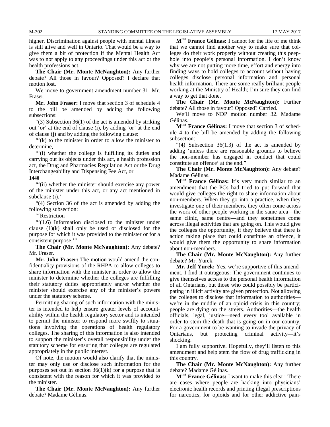higher. Discrimination against people with mental illness is still alive and well in Ontario. That would be a way to give them a bit of protection if the Mental Health Act was to not apply to any proceedings under this act or the health professions act.

**The Chair (Mr. Monte McNaughton):** Any further debate? All those in favour? Opposed? I declare that motion lost.

We move to government amendment number 31: Mr. Fraser.

**Mr. John Fraser:** I move that section 3 of schedule 4 to the bill be amended by adding the following subsections:

"(3) Subsection 36(1) of the act is amended by striking out 'or' at the end of clause (i), by adding 'or' at the end of clause (j) and by adding the following clause:

"(k) to the minister in order to allow the minister to determine,

""(i) whether the college is fulfilling its duties and carrying out its objects under this act, a health profession act, the Drug and Pharmacies Regulation Act or the Drug Interchangeability and Dispensing Fee Act, or

#### **1440**

""(ii) whether the minister should exercise any power" of the minister under this act, or any act mentioned in subclause (i).'

"(4) Section 36 of the act is amended by adding the following subsection:

"'Restriction

"'(1.6) Information disclosed to the minister under clause (1)(k) shall only be used or disclosed for the purpose for which it was provided to the minister or for a consistent purpose.'"

**The Chair (Mr. Monte McNaughton):** Any debate? Mr. Fraser.

**Mr. John Fraser:** The motion would amend the confidentiality provisions of the RHPA to allow colleges to share information with the minister in order to allow the minister to determine whether the colleges are fulfilling their statutory duties appropriately and/or whether the minister should exercise any of the minister's powers under the statutory scheme.

Permitting sharing of such information with the minister is intended to help ensure greater levels of accountability within the health regulatory sector and is intended to permit the minister to respond more swiftly to situations involving the operations of health regulatory colleges. The sharing of this information is also intended to support the minister's overall responsibility under the statutory scheme for ensuring that colleges are regulated appropriately in the public interest.

Of note, the motion would also clarify that the minister may only use or disclose such information for the purposes set out in section  $36(1)(k)$  for a purpose that is consistent with the reason for which it was provided to the minister.

**The Chair (Mr. Monte McNaughton):** Any further debate? Madame Gélinas.

**Mme France Gélinas:** I cannot for the life of me think that we cannot find another way to make sure that colleges do their work properly without creating this peephole into people's personal information. I don't know why we are not putting more time, effort and energy into finding ways to hold colleges to account without having colleges disclose personal information and personal health information. There are some really brilliant people working at the Ministry of Health; I'm sure they can find a way to get that done.

**The Chair (Mr. Monte McNaughton):** Further debate? All those in favour? Opposed? Carried.

We'll move to NDP motion number 32. Madame Gélinas.

**Mme France Gélinas:** I move that section 3 of schedule 4 to the bill be amended by adding the following subsection:

"(4) Subsection  $36(1.3)$  of the act is amended by adding 'unless there are reasonable grounds to believe the non-member has engaged in conduct that could constitute an offence' at the end."

**The Chair (Mr. Monte McNaughton):** Any debate? Madame Gélinas.

**Mme France Gélinas:** It's very much similar to an amendment that the PCs had tried to put forward that would give colleges the right to share information about non-members. When they go into a practice, when they investigate one of their members, they often come across the work of other people working in the same area—the same clinic, same centre—and they sometimes come across illegal activities that are going on. This would give the colleges the opportunity, if they believe that there is action taking place that could constitute an offence, it would give them the opportunity to share information about non-members.

**The Chair (Mr. Monte McNaughton):** Any further debate? Mr. Yurek.

**Mr. Jeff Yurek:** Yes, we're supportive of this amendment. I find it outrageous: The government continues to give themselves access to the personal health information of all Ontarians, but those who could possibly be participating in illicit activity are given protection. Not allowing the colleges to disclose that information to authorities we're in the middle of an opioid crisis in this country; people are dying on the streets. Authorities—the health officials, legal, justice—need every tool available in order to stem the death that is going on in our country. For a government to be wanting to invade the privacy of Ontarians, but protecting criminal activity—it's shocking.

I am fully supportive. Hopefully, they'll listen to this amendment and help stem the flow of drug trafficking in this country.

**The Chair (Mr. Monte McNaughton):** Any further debate? Madame Gélinas.

**Mme France Gélinas:** I want to make this clear: There are cases where people are hacking into physicians' electronic health records and printing illegal prescriptions for narcotics, for opioids and for other addictive pain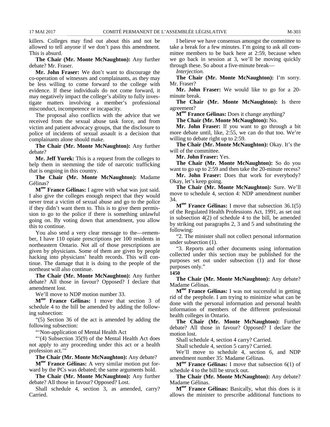killers. Colleges may find out about this and not be allowed to tell anyone if we don't pass this amendment. This is absurd.

**The Chair (Mr. Monte McNaughton):** Any further debate? Mr. Fraser.

**Mr. John Fraser:** We don't want to discourage the co-operation of witnesses and complainants, as they may be less willing to come forward to the college with evidence. If these individuals do not come forward, it may negatively impact the college's ability to fully investigate matters involving a member's professional misconduct, incompetence or incapacity.

The proposal also conflicts with the advice that we received from the sexual abuse task force, and from victim and patient advocacy groups, that the disclosure to police of incidents of sexual assault is a decision that complainants alone should make.

**The Chair (Mr. Monte McNaughton):** Any further debate?

**Mr. Jeff Yurek:** This is a request from the colleges to help them in stemming the tide of narcotic trafficking that is ongoing in this country.

**The Chair (Mr. Monte McNaughton):** Madame Gélinas?

**Mme France Gélinas:** I agree with what was just said. I also give the colleges enough respect that they would never treat a victim of sexual abuse and go to the police if they didn't want them to. This is to give them permission to go to the police if there is something unlawful going on. By voting down that amendment, you allow this to continue.

You also send a very clear message to the—remember, I have 110 opiate prescriptions per 100 residents in northeastern Ontario. Not all of those prescriptions are given by physicians. Some of them are given by people hacking into physicians' health records. This will continue. The damage that it is doing to the people of the northeast will also continue.

**The Chair (Mr. Monte McNaughton):** Any further debate? All those in favour? Opposed? I declare that amendment lost.

We'll move to NDP motion number 33.

**Mme France Gélinas:** I move that section 3 of schedule 4 to the bill be amended by adding the following subsection:

"(5) Section 36 of the act is amended by adding the following subsection:

"'Non-application of Mental Health Act

"'(4) Subsection 35(9) of the Mental Health Act does not apply to any proceeding under this act or a health profession act."

**The Chair (Mr. Monte McNaughton):** Any debate?

**Mme France Gélinas:** A very similar motion put forward by the PCs was debated; the same arguments hold.

**The Chair (Mr. Monte McNaughton):** Any further debate? All those in favour? Opposed? Lost.

Shall schedule 4, section 3, as amended, carry? Carried.

I believe we have consensus amongst the committee to take a break for a few minutes. I'm going to ask all committee members to be back here at 2:59, because when we go back in session at 3, we'll be moving quickly through these. So about a five-minute break—

*Interjection.*

**The Chair (Mr. Monte McNaughton):** I'm sorry. Mr. Fraser?

**Mr. John Fraser:** We would like to go for a 20 minute break.

**The Chair (Mr. Monte McNaughton):** Is there agreement?

**Mme France Gélinas:** Does it change anything?

**The Chair (Mr. Monte McNaughton):** No.

**Mr. John Fraser:** If you want to go through a bit more debate until, like, 2:55, we can do that too. We're willing to debate right up to 2:59.

**The Chair (Mr. Monte McNaughton):** Okay. It's the will of the committee.

**Mr. John Fraser:** Yes.

**The Chair (Mr. Monte McNaughton):** So do you want to go up to 2:59 and then take the 20-minute recess?

**Mr. John Fraser:** Does that work for everybody? Okay, let's keep going.

**The Chair (Mr. Monte McNaughton):** Sure. We'll move to schedule 4, section 4: NDP amendment number 34.

**Mme France Gélinas:** I move that subsection 36.1(5) of the Regulated Health Professions Act, 1991, as set out in subsection 4(2) of schedule 4 to the bill, be amended by striking out paragraphs 2, 3 and 5 and substituting the following:

"2. The minister shall not collect personal information under subsection (1).

"3. Reports and other documents using information collected under this section may be published for the purposes set out under subsection (1) and for those purposes only." **1450**

**The Chair (Mr. Monte McNaughton):** Any debate? Madame Gélinas.

**Mme France Gélinas:** I was not successful in getting rid of the peephole. I am trying to minimize what can be done with the personal information and personal health information of members of the different professional health colleges in Ontario.

**The Chair (Mr. Monte McNaughton):** Further debate? All those in favour? Opposed? I declare the motion lost.

Shall schedule 4, section 4 carry? Carried.

Shall schedule 4, section 5 carry? Carried.

We'll move to schedule 4, section 6, and NDP amendment number 35: Madame Gélinas.

**Mme France Gélinas:** I move that subsection 6(1) of schedule 4 to the bill be struck out.

**The Chair (Mr. Monte McNaughton):** Any debate? Madame Gélinas.

**Mme France Gélinas:** Basically, what this does is it allows the minister to prescribe additional functions to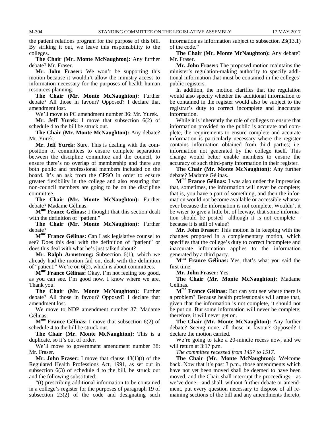the patient relations program for the purpose of this bill. By striking it out, we leave this responsibility to the colleges.

**The Chair (Mr. Monte McNaughton):** Any further debate? Mr. Fraser.

**Mr. John Fraser:** We won't be supporting this motion because it wouldn't allow the ministry access to information necessary for the purposes of health human resources planning.

**The Chair (Mr. Monte McNaughton):** Further debate? All those in favour? Opposed? I declare that amendment lost.

We'll move to PC amendment number 36: Mr. Yurek.

**Mr. Jeff Yurek:** I move that subsection 6(2) of schedule 4 to the bill be struck out.

**The Chair (Mr. Monte McNaughton):** Any debate? Mr. Yurek.

**Mr. Jeff Yurek:** Sure. This is dealing with the composition of committees to ensure complete separation between the discipline committee and the council, to ensure there's no overlap of membership and there are both public and professional members included on the board. It's an ask from the CPSO in order to ensure greater flexibility in the college and also ensuring that non-council members are going to be on the discipline committee.

**The Chair (Mr. Monte McNaughton):** Further debate? Madame Gélinas.

**Mme France Gélinas:** I thought that this section dealt with the definition of "patient."

**The Chair (Mr. Monte McNaughton):** Further debate?

**Mme France Gélinas:** Can I ask legislative counsel to see? Does this deal with the definition of "patient" or does this deal with what he's just talked about?

**Mr. Ralph Armstrong:** Subsection 6(1), which we already had the motion fail on, dealt with the definition of "patient." We're on 6(2), which is about committees.

**Mme France Gélinas:** Okay. I'm not feeling too good, as you can see. I'm good now. I know where we are. Thank you.

**The Chair (Mr. Monte McNaughton):** Further debate? All those in favour? Opposed? I declare that amendment lost.

We move to NDP amendment number 37: Madame Gélinas.

**Mme France Gélinas:** I move that subsection 6(2) of schedule 4 to the bill be struck out.

**The Chair (Mr. Monte McNaughton):** This is a duplicate, so it's out of order.

We'll move to government amendment number 38: Mr. Fraser.

**Mr. John Fraser:** I move that clause 43(1)(t) of the Regulated Health Professions Act, 1991, as set out in subsection 6(3) of schedule 4 to the bill, be struck out and the following substituted:

"(t) prescribing additional information to be contained in a college's register for the purposes of paragraph 19 of subsection 23(2) of the code and designating such

information as information subject to subsection 23(13.1) of the code."

**The Chair (Mr. Monte McNaughton):** Any debate? Mr. Fraser.

**Mr. John Fraser:** The proposed motion maintains the minister's regulation-making authority to specify additional information that must be contained in the colleges' public registers.

In addition, the motion clarifies that the regulation would also specify whether the additional information to be contained in the register would also be subject to the registrar's duty to correct incomplete and inaccurate information.

While it is inherently the role of colleges to ensure that information provided to the public is accurate and complete, the requirements to ensure complete and accurate information is particularly necessary where the register contains information obtained from third parties; i.e. information not generated by the college itself. This change would better enable members to ensure the accuracy of such third-party information in their register.

**The Chair (Mr. Monte McNaughton):** Any further debate? Madame Gélinas.

**Mme France Gélinas:** I was also under the impression that, sometimes, the information will never be complete; that is, you have a part of something, and then the information would not become available or accessible whatsoever because the information is not complete. Wouldn't it be wiser to give a little bit of leeway, that some information should be posted—although it is not complete because it is still of value?

**Mr. John Fraser:** This motion is in keeping with the changes proposed in a complementary motion, which specifies that the college's duty to correct incomplete and inaccurate information applies to the information generated by a third party.

**Mme France Gélinas:** Yes, that's what you said the first time.

**Mr. John Fraser:** Yes.

**The Chair (Mr. Monte McNaughton):** Madame Gélinas.

**Mme France Gélinas:** But can you see where there is a problem? Because health professionals will argue that, given that the information is not complete, it should not be put on. But some information will never be complete; therefore, it will never get on.

**The Chair (Mr. Monte McNaughton):** Any further debate? Seeing none, all those in favour? Opposed? I declare the motion carried.

We're going to take a 20-minute recess now, and we will return at 3:17 p.m.

*The committee recessed from 1457 to 1517.*

**The Chair (Mr. Monte McNaughton):** Welcome back. Now that it's past 3 p.m., those amendments which have not yet been moved shall be deemed to have been moved, and the Chair shall interrupt the proceedings—as we've done—and shall, without further debate or amendment, put every question necessary to dispose of all remaining sections of the bill and any amendments thereto,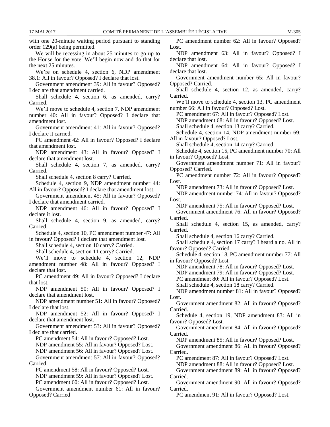with one 20-minute waiting period pursuant to standing order 129(a) being permitted. We will be recessing in about 25 minutes to go up to the House for the vote. We'll begin now and do that for the next 25 minutes. We're on schedule 4, section 6, NDP amendment 38.1: All in favour? Opposed? I declare that lost. Government amendment 39: All in favour? Opposed? I declare that amendment carried. Shall schedule 4, section 6, as amended, carry? Carried. We'll move to schedule 4, section 7, NDP amendment number 40: All in favour? Opposed? I declare that amendment lost. Government amendment 41: All in favour? Opposed? I declare it carried. PC amendment 42: All in favour? Opposed? I declare that amendment lost. NDP amendment 43: All in favour? Opposed? I declare that amendment lost. Shall schedule 4, section 7, as amended, carry? Carried. Shall schedule 4, section 8 carry? Carried. Schedule 4, section 9, NDP amendment number 44: All in favour? Opposed? I declare that amendment lost. Government amendment 45: All in favour? Opposed? I declare that amendment carried. NDP amendment 46: All in favour? Opposed? I declare it lost. Shall schedule 4, section 9, as amended, carry? Carried. Schedule 4, section 10, PC amendment number 47: All in favour? Opposed? I declare that amendment lost. Shall schedule 4, section 10 carry? Carried. Shall schedule 4, section 11 carry? Carried. We'll move to schedule 4, section 12, NDP amendment number 48: All in favour? Opposed? I declare that lost. PC amendment 49: All in favour? Opposed? I declare that lost. NDP amendment 50: All in favour? Opposed? I declare that amendment lost. NDP amendment number 51: All in favour? Opposed? I declare that lost. NDP amendment 52: All in favour? Opposed? I declare that amendment lost. Government amendment 53: All in favour? Opposed? I declare that carried. PC amendment 54: All in favour? Opposed? Lost. NDP amendment 55: All in favour? Opposed? Lost. NDP amendment 56: All in favour? Opposed? Lost. Government amendment 57: All in favour? Opposed? Carried. PC amendment 58: All in favour? Opposed? Lost. NDP amendment 59: All in favour? Opposed? Lost. PC amendment 60: All in favour? Opposed? Lost. Government amendment number 61: All in favour? Opposed? Carried PC amendment number 62: All in favour? Opposed? Lost. NDP amendment 63: All in favour? Opposed? I declare that lost. NDP amendment 64: All in favour? Opposed? I declare that lost. Government amendment number 65: All in favour? Opposed? Carried. Shall schedule 4, section 12, as amended, carry? Carried. We'll move to schedule 4, section 13, PC amendment number 66: All in favour? Opposed? Lost. PC amendment 67: All in favour? Opposed? Lost. NDP amendment 68: All in favour? Opposed? Lost. Shall schedule 4, section 13 carry? Carried. Schedule 4, section 14, NDP amendment number 69: All in favour? Opposed? Lost. Shall schedule 4, section 14 carry? Carried. Schedule 4, section 15, PC amendment number 70: All in favour? Opposed? Lost. Government amendment number 71: All in favour? Opposed? Carried. PC amendment number 72: All in favour? Opposed? Lost. NDP amendment 73: All in favour? Opposed? Lost. NDP amendment number 74: All in favour? Opposed? Lost. NDP amendment 75: All in favour? Opposed? Lost. Government amendment 76: All in favour? Opposed? Carried. Shall schedule 4, section 15, as amended, carry? Carried. Shall schedule 4, section 16 carry? Carried. Shall schedule 4, section 17 carry? I heard a no. All in favour? Opposed? Carried. Schedule 4, section 18, PC amendment number 77: All in favour? Opposed? Lost. NDP amendment 78: All in favour? Opposed? Lost. NDP amendment 79: All in favour? Opposed? Lost. PC amendment 80: All in favour? Opposed? Lost. Shall schedule 4, section 18 carry? Carried. NDP amendment number 81: All in favour? Opposed? Lost. Government amendment 82: All in favour? Opposed? Carried. Schedule 4, section 19, NDP amendment 83: All in favour? Opposed? Lost. Government amendment 84: All in favour? Opposed? Carried. NDP amendment 85: All in favour? Opposed? Lost. Government amendment 86: All in favour? Opposed? Carried. PC amendment 87: All in favour? Opposed? Lost. NDP amendment 88: All in favour? Opposed? Lost. Government amendment 89: All in favour? Opposed? Carried. Government amendment 90: All in favour? Opposed? Carried. PC amendment 91: All in favour? Opposed? Lost.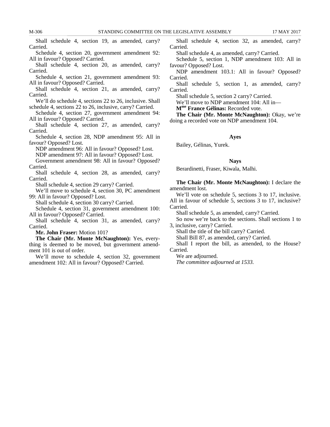Shall schedule 4, section 19, as amended, carry? Carried.

Schedule 4, section 20, government amendment 92: All in favour? Opposed? Carried.

Shall schedule 4, section 20, as amended, carry? Carried.

Schedule 4, section 21, government amendment 93: All in favour? Opposed? Carried.

Shall schedule 4, section 21, as amended, carry? Carried.

We'll do schedule 4, sections 22 to 26, inclusive. Shall schedule 4, sections 22 to 26, inclusive, carry? Carried.

Schedule 4, section 27, government amendment 94: All in favour? Opposed? Carried.

Shall schedule 4, section 27, as amended, carry? Carried.

Schedule 4, section 28, NDP amendment 95: All in favour? Opposed? Lost.

NDP amendment 96: All in favour? Opposed? Lost.

NDP amendment 97: All in favour? Opposed? Lost.

Government amendment 98: All in favour? Opposed? Carried.

Shall schedule 4, section 28, as amended, carry? Carried.

Shall schedule 4, section 29 carry? Carried.

We'll move to schedule 4, section 30, PC amendment 99: All in favour? Opposed? Lost.

Shall schedule 4, section 30 carry? Carried.

Schedule 4, section 31, government amendment 100: All in favour? Opposed? Carried.

Shall schedule 4, section 31, as amended, carry? Carried.

**Mr. John Fraser:** Motion 101?

**The Chair (Mr. Monte McNaughton):** Yes, everything is deemed to be moved, but government amendment 101 is out of order.

We'll move to schedule 4, section 32, government amendment 102: All in favour? Opposed? Carried.

Shall schedule 4, section 32, as amended, carry? Carried.

Shall schedule 4, as amended, carry? Carried.

Schedule 5, section 1, NDP amendment 103: All in favour? Opposed? Lost.

NDP amendment 103.1: All in favour? Opposed? Carried.

Shall schedule 5, section 1, as amended, carry? Carried.

Shall schedule 5, section 2 carry? Carried.

We'll move to NDP amendment 104: All in—

**Mme France Gélinas:** Recorded vote.

**The Chair (Mr. Monte McNaughton):** Okay, we're doing a recorded vote on NDP amendment 104.

#### **Ayes**

Bailey, Gélinas, Yurek.

#### **Nays**

Berardinetti, Fraser, Kiwala, Malhi.

**The Chair (Mr. Monte McNaughton):** I declare the amendment lost.

We'll vote on schedule 5, sections 3 to 17, inclusive. All in favour of schedule 5, sections 3 to 17, inclusive? Carried.

Shall schedule 5, as amended, carry? Carried.

So now we're back to the sections. Shall sections 1 to 3, inclusive, carry? Carried.

Shall the title of the bill carry? Carried.

Shall Bill 87, as amended, carry? Carried.

Shall I report the bill, as amended, to the House?

Carried.

We are adjourned.

*The committee adjourned at 1533.*